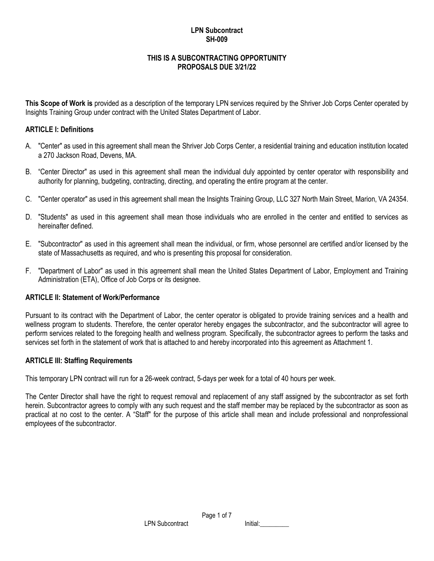## **LPN Subcontract SH-009**

#### **THIS IS A SUBCONTRACTING OPPORTUNITY PROPOSALS DUE 3/21/22**

**This Scope of Work is** provided as a description of the temporary LPN services required by the Shriver Job Corps Center operated by Insights Training Group under contract with the United States Department of Labor.

### **ARTICLE I: Definitions**

- A. "Center" as used in this agreement shall mean the Shriver Job Corps Center, a residential training and education institution located a 270 Jackson Road, Devens, MA.
- B. "Center Director" as used in this agreement shall mean the individual duly appointed by center operator with responsibility and authority for planning, budgeting, contracting, directing, and operating the entire program at the center.
- C. "Center operator" as used in this agreement shall mean the Insights Training Group, LLC 327 North Main Street, Marion, VA 24354.
- D. "Students" as used in this agreement shall mean those individuals who are enrolled in the center and entitled to services as hereinafter defined.
- E. "Subcontractor" as used in this agreement shall mean the individual, or firm, whose personnel are certified and/or licensed by the state of Massachusetts as required, and who is presenting this proposal for consideration.
- F. "Department of Labor" as used in this agreement shall mean the United States Department of Labor, Employment and Training Administration (ETA), Office of Job Corps or its designee.

### **ARTICLE II: Statement of Work/Performance**

Pursuant to its contract with the Department of Labor, the center operator is obligated to provide training services and a health and wellness program to students. Therefore, the center operator hereby engages the subcontractor, and the subcontractor will agree to perform services related to the foregoing health and wellness program. Specifically, the subcontractor agrees to perform the tasks and services set forth in the statement of work that is attached to and hereby incorporated into this agreement as Attachment 1.

#### **ARTICLE III: Staffing Requirements**

This temporary LPN contract will run for a 26-week contract, 5-days per week for a total of 40 hours per week.

The Center Director shall have the right to request removal and replacement of any staff assigned by the subcontractor as set forth herein. Subcontractor agrees to comply with any such request and the staff member may be replaced by the subcontractor as soon as practical at no cost to the center. A "Staff" for the purpose of this article shall mean and include professional and nonprofessional employees of the subcontractor.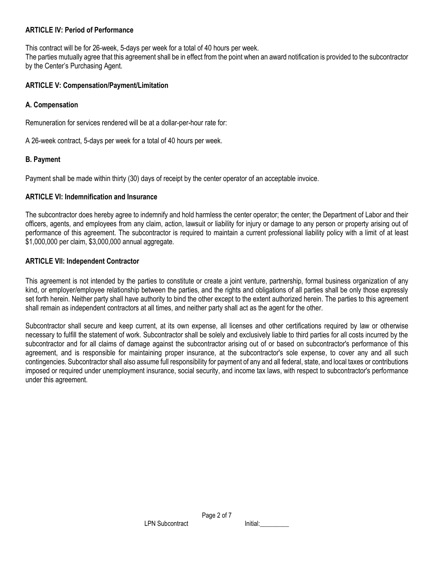#### **ARTICLE IV: Period of Performance**

This contract will be for 26-week, 5-days per week for a total of 40 hours per week.

The parties mutually agree that this agreement shall be in effect from the point when an award notification is provided to the subcontractor by the Center's Purchasing Agent.

#### **ARTICLE V: Compensation/Payment/Limitation**

### **A. Compensation**

Remuneration for services rendered will be at a dollar-per-hour rate for:

A 26-week contract, 5-days per week for a total of 40 hours per week.

#### **B. Payment**

Payment shall be made within thirty (30) days of receipt by the center operator of an acceptable invoice.

### **ARTICLE VI: Indemnification and Insurance**

The subcontractor does hereby agree to indemnify and hold harmless the center operator; the center; the Department of Labor and their officers, agents, and employees from any claim, action, lawsuit or liability for injury or damage to any person or property arising out of performance of this agreement. The subcontractor is required to maintain a current professional liability policy with a limit of at least \$1,000,000 per claim, \$3,000,000 annual aggregate.

### **ARTICLE VII: Independent Contractor**

This agreement is not intended by the parties to constitute or create a joint venture, partnership, formal business organization of any kind, or employer/employee relationship between the parties, and the rights and obligations of all parties shall be only those expressly set forth herein. Neither party shall have authority to bind the other except to the extent authorized herein. The parties to this agreement shall remain as independent contractors at all times, and neither party shall act as the agent for the other.

Subcontractor shall secure and keep current, at its own expense, all licenses and other certifications required by law or otherwise necessary to fulfill the statement of work. Subcontractor shall be solely and exclusively liable to third parties for all costs incurred by the subcontractor and for all claims of damage against the subcontractor arising out of or based on subcontractor's performance of this agreement, and is responsible for maintaining proper insurance, at the subcontractor's sole expense, to cover any and all such contingencies. Subcontractor shall also assume full responsibility for payment of any and all federal, state, and local taxes or contributions imposed or required under unemployment insurance, social security, and income tax laws, with respect to subcontractor's performance under this agreement.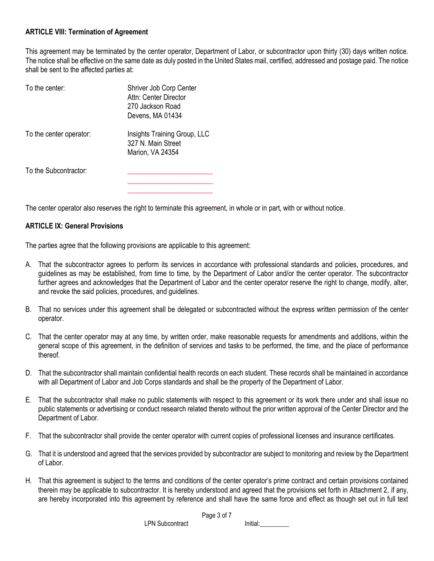### **ARTICLE VIII: Termination of Agreement**

This agreement may be terminated by the center operator, Department of Labor, or subcontractor upon thirty (30) days written notice. The notice shall be effective on the same date as duly posted in the United States mail, certified, addressed and postage paid. The notice shall be sent to the affected parties at:

| Shriver Job Corp Center<br>Attn: Center Director<br>270 Jackson Road<br>Devens, MA 01434 |
|------------------------------------------------------------------------------------------|
| Insights Training Group, LLC<br>327 N. Main Street<br>Marion, VA 24354                   |
|                                                                                          |
|                                                                                          |

The center operator also reserves the right to terminate this agreement, in whole or in part, with or without notice.

#### **ARTICLE IX: General Provisions**

The parties agree that the following provisions are applicable to this agreement:

- A. That the subcontractor agrees to perform its services in accordance with professional standards and policies, procedures, and guidelines as may be established, from time to time, by the Department of Labor and/or the center operator. The subcontractor further agrees and acknowledges that the Department of Labor and the center operator reserve the right to change, modify, alter, and revoke the said policies, procedures, and guidelines.
- B. That no services under this agreement shall be delegated or subcontracted without the express written permission of the center operator.
- C. That the center operator may at any time, by written order, make reasonable requests for amendments and additions, within the general scope of this agreement, in the definition of services and tasks to be performed, the time, and the place of performance thereof.
- D. That the subcontractor shall maintain confidential health records on each student. These records shall be maintained in accordance with all Department of Labor and Job Corps standards and shall be the property of the Department of Labor.
- E. That the subcontractor shall make no public statements with respect to this agreement or its work there under and shall issue no public statements or advertising or conduct research related thereto without the prior written approval of the Center Director and the Department of Labor.
- F. That the subcontractor shall provide the center operator with current copies of professional licenses and insurance certificates.
- G. That it is understood and agreed that the services provided by subcontractor are subject to monitoring and review by the Department of Labor.
- H. That this agreement is subject to the terms and conditions of the center operator's prime contract and certain provisions contained therein may be applicable to subcontractor. It is hereby understood and agreed that the provisions set forth in Attachment 2, if any, are hereby incorporated into this agreement by reference and shall have the same force and effect as though set out in full text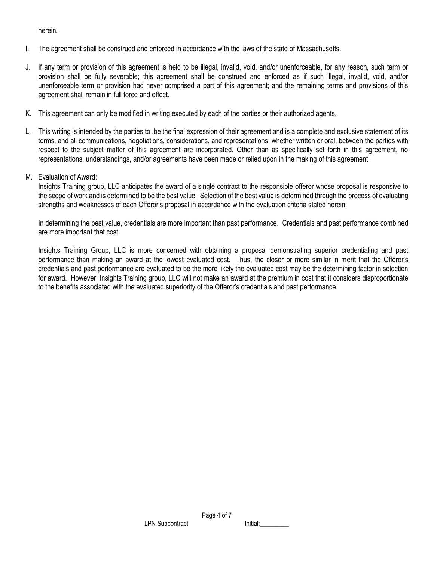herein.

- I. The agreement shall be construed and enforced in accordance with the laws of the state of Massachusetts.
- J. If any term or provision of this agreement is held to be illegal, invalid, void, and/or unenforceable, for any reason, such term or provision shall be fully severable; this agreement shall be construed and enforced as if such illegal, invalid, void, and/or unenforceable term or provision had never comprised a part of this agreement; and the remaining terms and provisions of this agreement shall remain in full force and effect.
- K. This agreement can only be modified in writing executed by each of the parties or their authorized agents.
- L. This writing is intended by the parties to .be the final expression of their agreement and is a complete and exclusive statement of its terms, and all communications, negotiations, considerations, and representations, whether written or oral, between the parties with respect to the subject matter of this agreement are incorporated. Other than as specifically set forth in this agreement, no representations, understandings, and/or agreements have been made or relied upon in the making of this agreement.
- M. Evaluation of Award:

Insights Training group, LLC anticipates the award of a single contract to the responsible offeror whose proposal is responsive to the scope of work and is determined to be the best value. Selection of the best value is determined through the process of evaluating strengths and weaknesses of each Offeror's proposal in accordance with the evaluation criteria stated herein.

In determining the best value, credentials are more important than past performance. Credentials and past performance combined are more important that cost.

Insights Training Group, LLC is more concerned with obtaining a proposal demonstrating superior credentialing and past performance than making an award at the lowest evaluated cost. Thus, the closer or more similar in merit that the Offeror's credentials and past performance are evaluated to be the more likely the evaluated cost may be the determining factor in selection for award. However, Insights Training group, LLC will not make an award at the premium in cost that it considers disproportionate to the benefits associated with the evaluated superiority of the Offeror's credentials and past performance.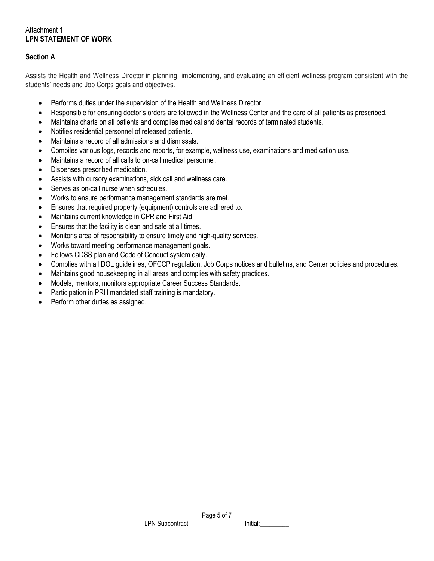## Attachment 1 **LPN STATEMENT OF WORK**

## **Section A**

Assists the Health and Wellness Director in planning, implementing, and evaluating an efficient wellness program consistent with the students' needs and Job Corps goals and objectives.

- Performs duties under the supervision of the Health and Wellness Director.
- Responsible for ensuring doctor's orders are followed in the Wellness Center and the care of all patients as prescribed.
- Maintains charts on all patients and compiles medical and dental records of terminated students.
- Notifies residential personnel of released patients.
- Maintains a record of all admissions and dismissals.
- Compiles various logs, records and reports, for example, wellness use, examinations and medication use.
- Maintains a record of all calls to on-call medical personnel.
- Dispenses prescribed medication.
- Assists with cursory examinations, sick call and wellness care.
- Serves as on-call nurse when schedules.
- Works to ensure performance management standards are met.
- Ensures that required property (equipment) controls are adhered to.
- Maintains current knowledge in CPR and First Aid
- Ensures that the facility is clean and safe at all times.
- Monitor's area of responsibility to ensure timely and high-quality services.
- Works toward meeting performance management goals.
- Follows CDSS plan and Code of Conduct system daily.
- Complies with all DOL guidelines, OFCCP regulation, Job Corps notices and bulletins, and Center policies and procedures.
- Maintains good housekeeping in all areas and complies with safety practices.
- Models, mentors, monitors appropriate Career Success Standards.
- Participation in PRH mandated staff training is mandatory.
- Perform other duties as assigned.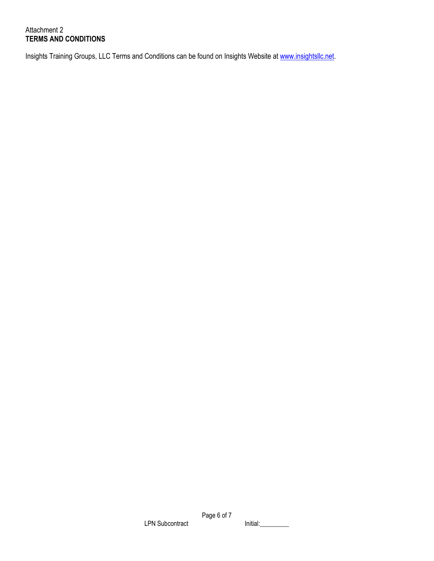# Attachment 2 **TERMS AND CONDITIONS**

Insights Training Groups, LLC Terms and Conditions can be found on Insights Website at [www.insightsllc.net.](http://www.insightsllc.net/)